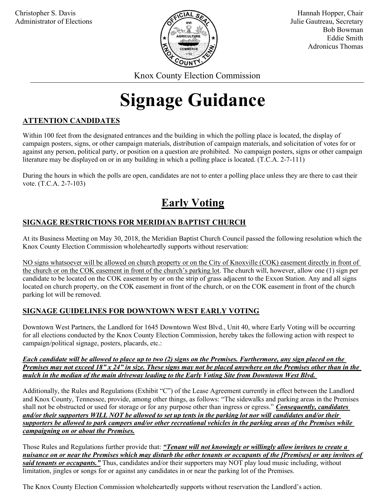

Hannah Hopper, Chair Julie Gautreau, Secretary Bob Bowman Eddie Smith Adronicus Thomas

Knox County Election Commission

# Signage Guidance

#### ATTENTION CANDIDATES

Within 100 feet from the designated entrances and the building in which the polling place is located, the display of campaign posters, signs, or other campaign materials, distribution of campaign materials, and solicitation of votes for or against any person, political party, or position on a question are prohibited. No campaign posters, signs or other campaign literature may be displayed on or in any building in which a polling place is located. (T.C.A. 2-7-111)

During the hours in which the polls are open, candidates are not to enter a polling place unless they are there to cast their vote. (T.C.A. 2-7-103)

## Early Voting

#### SIGNAGE RESTRICTIONS FOR MERIDIAN BAPTIST CHURCH

At its Business Meeting on May 30, 2018, the Meridian Baptist Church Council passed the following resolution which the Knox County Election Commission wholeheartedly supports without reservation:

NO signs whatsoever will be allowed on church property or on the City of Knoxville (COK) easement directly in front of the church or on the COK easement in front of the church's parking lot. The church will, however, allow one (1) sign per candidate to be located on the COK easement by or on the strip of grass adjacent to the Exxon Station. Any and all signs located on church property, on the COK easement in front of the church, or on the COK easement in front of the church parking lot will be removed.

#### SIGNAGE GUIDELINES FOR DOWNTOWN WEST EARLY VOTING

Downtown West Partners, the Landlord for 1645 Downtown West Blvd., Unit 40, where Early Voting will be occurring for all elections conducted by the Knox County Election Commission, hereby takes the following action with respect to campaign/political signage, posters, placards, etc.:

Each candidate will be allowed to place up to two (2) signs on the Premises. Furthermore, any sign placed on the Premises may not exceed  $18" x 24"$  in size. These signs may not be placed anywhere on the Premises other than in the mulch in the median of the main driveway leading to the Early Voting Site from Downtown West Blvd.

Additionally, the Rules and Regulations (Exhibit "C") of the Lease Agreement currently in effect between the Landlord and Knox County, Tennessee, provide, among other things, as follows: "The sidewalks and parking areas in the Premises shall not be obstructed or used for storage or for any purpose other than ingress or egress." Consequently, candidates and/or their supporters WILL NOT be allowed to set up tents in the parking lot nor will candidates and/or their supporters be allowed to park campers and/or other recreational vehicles in the parking areas of the Premises while campaigning on or about the Premises.

Those Rules and Regulations further provide that: "Tenant will not knowingly or willingly allow invitees to create a nuisance on or near the Premises which may disturb the other tenants or occupants of the [Premises] or any invitees of said tenants or occupants." Thus, candidates and/or their supporters may NOT play loud music including, without limitation, jingles or songs for or against any candidates in or near the parking lot of the Premises.

The Knox County Election Commission wholeheartedly supports without reservation the Landlord's action.